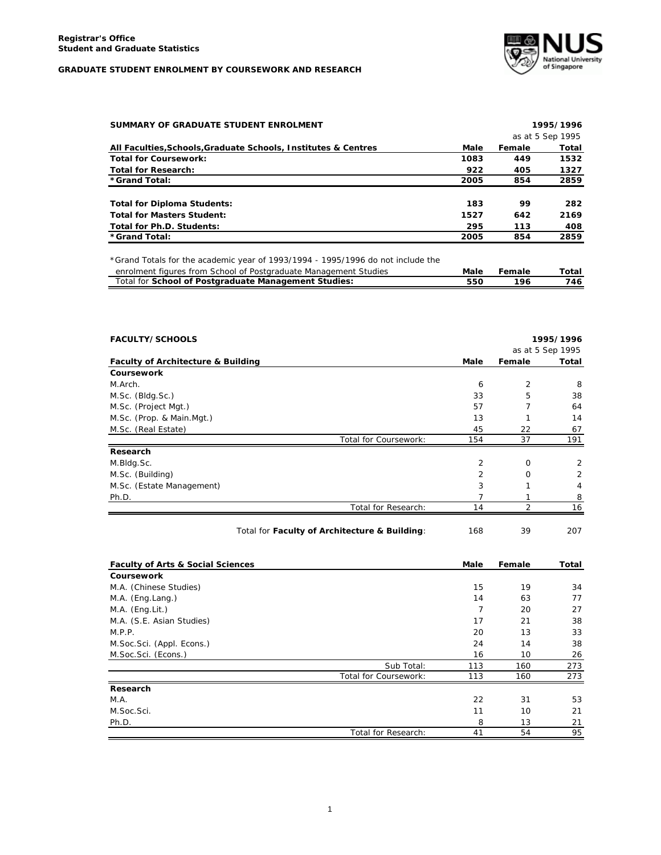

| SUMMARY OF GRADUATE STUDENT ENROLMENT                          | 1995/1996 |        |                  |
|----------------------------------------------------------------|-----------|--------|------------------|
|                                                                |           |        | as at 5 Sep 1995 |
| All Faculties, Schools, Graduate Schools, Institutes & Centres | Male      | Female | Total            |
| <b>Total for Coursework:</b>                                   | 1083      | 449    | 1532             |
| <b>Total for Research:</b>                                     | 922       | 405    | 1327             |
| *Grand Total:                                                  | 2005      | 854    | 2859             |
|                                                                |           |        |                  |
| <b>Total for Diploma Students:</b>                             | 183       | 99     | 282              |
| <b>Total for Masters Student:</b>                              | 1527      | 642    | 2169             |
| Total for Ph.D. Students:                                      | 295       | 113    | 408              |
| *Grand Total:                                                  | 2005      | 854    | 2859             |

*\*Grand Totals for the academic year of 1993/1994 - 1995/1996 do not include the*

| enrolment figures from School of Postgraduate Management Studies | Male | Female | Total |
|------------------------------------------------------------------|------|--------|-------|
| Total for School of Postgraduate Management Studies:             | 550  | 196    | 746   |

| <b>FACULTY/SCHOOLS</b>                        |      |                | 1995/1996        |
|-----------------------------------------------|------|----------------|------------------|
|                                               |      |                | as at 5 Sep 1995 |
| <b>Faculty of Architecture &amp; Building</b> | Male | Female         | Total            |
| Coursework                                    |      |                |                  |
| M.Arch.                                       | 6    | 2              | 8                |
| M.Sc. (Bldg.Sc.)                              | 33   | 5              | 38               |
| M.Sc. (Project Mgt.)                          | 57   | $\overline{7}$ | 64               |
| M.Sc. (Prop. & Main.Mgt.)                     | 13   | 1              | 14               |
| M.Sc. (Real Estate)                           | 45   | 22             | 67               |
| Total for Coursework:                         | 154  | 37             | 191              |
| Research                                      |      |                |                  |
| M.Bldg.Sc.                                    | 2    | 0              | 2                |
| M.Sc. (Building)                              | 2    | $\mathbf 0$    | $\overline{2}$   |
| M.Sc. (Estate Management)                     | 3    | 1              | 4                |
| Ph.D.                                         | 7    | 1              | 8                |
| Total for Research:                           | 14   | $\overline{2}$ | 16               |
| Total for Faculty of Architecture & Building: | 168  | 39             | 207              |
| <b>Faculty of Arts &amp; Social Sciences</b>  | Male | Female         | Total            |
| Coursework                                    |      |                |                  |
| M.A. (Chinese Studies)                        | 15   | 19             | 34               |
| M.A. (Eng.Lang.)                              | 14   | 63             | 77               |
| M.A. (Eng.Lit.)                               | 7    | 20             | 27               |
| M.A. (S.E. Asian Studies)                     | 17   | 21             | 38               |
| M.P.P.                                        | 20   | 13             | 33               |
| M.Soc.Sci. (Appl. Econs.)                     | 24   | 14             | 38               |
| M.Soc.Sci. (Econs.)                           | 16   | 10             | 26               |
| Sub Total:                                    | 113  | 160            | 273              |
| Total for Coursework:                         | 113  | 160            | 273              |
| Research                                      |      |                |                  |
| M.A.                                          | 22   | 31             | 53               |
| M.Soc.Sci.                                    | 11   | 10             | 21               |
| Ph.D.                                         | 8    | 13             | 21               |
| Total for Research:                           | 41   | 54             | 95               |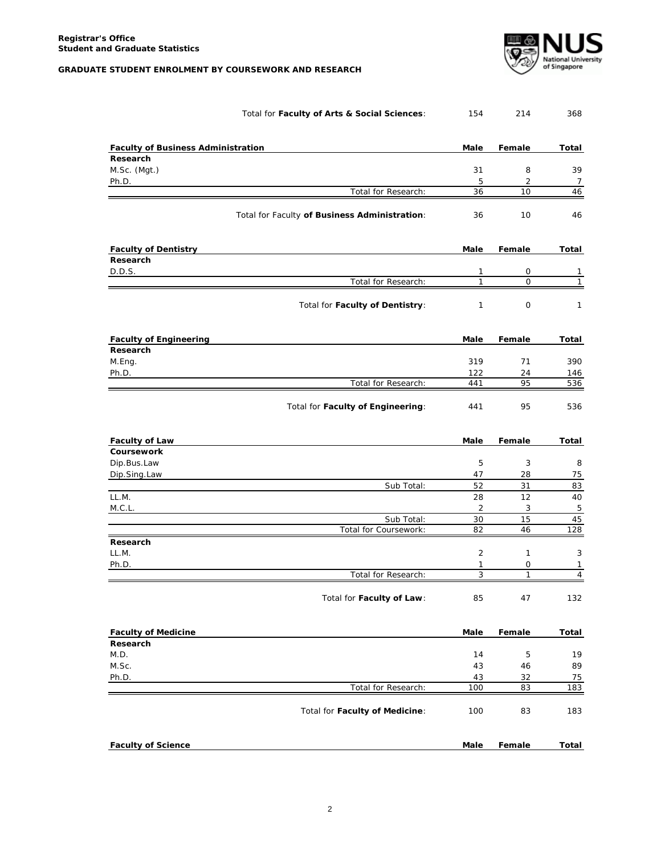

|                                           | Total for Faculty of Arts & Social Sciences:  | 154            | 214            | 368            |
|-------------------------------------------|-----------------------------------------------|----------------|----------------|----------------|
| <b>Faculty of Business Administration</b> |                                               | Male           | Female         | Total          |
| Research                                  |                                               |                |                |                |
| $M.Sc.$ (Mgt.)                            |                                               | 31             | 8              | 39             |
| Ph.D.                                     |                                               | 5              | $\overline{2}$ | $\overline{7}$ |
|                                           | Total for Research:                           | 36             | 10             | 46             |
|                                           | Total for Faculty of Business Administration: | 36             | 10             | 46             |
| <b>Faculty of Dentistry</b>               |                                               | Male           | Female         | Total          |
| Research                                  |                                               |                |                |                |
| D.D.S.                                    |                                               | 1              | 0              | 1              |
|                                           | Total for Research:                           | $\mathbf{1}$   | $\mathsf{O}$   | $\mathbf{1}$   |
|                                           | Total for Faculty of Dentistry:               | $\mathbf{1}$   | 0              | 1              |
| <b>Faculty of Engineering</b>             |                                               | Male           | Female         | Total          |
| Research                                  |                                               |                |                |                |
| M.Eng.                                    |                                               | 319            | 71             | 390            |
| Ph.D.                                     |                                               | 122            | 24             | 146            |
|                                           | Total for Research:                           | 441            | 95             | 536            |
|                                           | Total for Faculty of Engineering:             | 441            | 95             | 536            |
| <b>Faculty of Law</b>                     |                                               | Male           | Female         | Total          |
| Coursework                                |                                               |                |                |                |
| Dip.Bus.Law                               |                                               | 5              | 3              | 8              |
| Dip.Sing.Law                              |                                               | 47             | 28             | 75             |
| LL.M.                                     | Sub Total:                                    | 52<br>28       | 31<br>12       | 83<br>40       |
| M.C.L.                                    |                                               | $\overline{2}$ | 3              | 5              |
|                                           | Sub Total:                                    | 30             | 15             | 45             |
|                                           | Total for Coursework:                         | 82             | 46             | 128            |
| Research                                  |                                               |                |                |                |
| LL.M.                                     |                                               | 2              | $\mathbf{1}$   | 3              |
| Ph.D.                                     |                                               | 1              | 0              | $\mathbf{1}$   |
|                                           | Total for Research:                           | 3              | $\mathbf{1}$   | 4              |
|                                           | Total for Faculty of Law:                     | 85             | 47             | 132            |
| <b>Faculty of Medicine</b>                |                                               | Male           | Female         | <b>Total</b>   |
| Research                                  |                                               |                |                |                |
| M.D.                                      |                                               | 14             | 5              | 19             |
| M.Sc.                                     |                                               | 43             | 46             | 89             |
| Ph.D.                                     |                                               | 43             | 32             | 75             |
|                                           | Total for Research:                           | 100            | 83             | 183            |
|                                           | Total for Faculty of Medicine:                | 100            | 83             | 183            |
| <b>Faculty of Science</b>                 |                                               | Male           | Female         | Total          |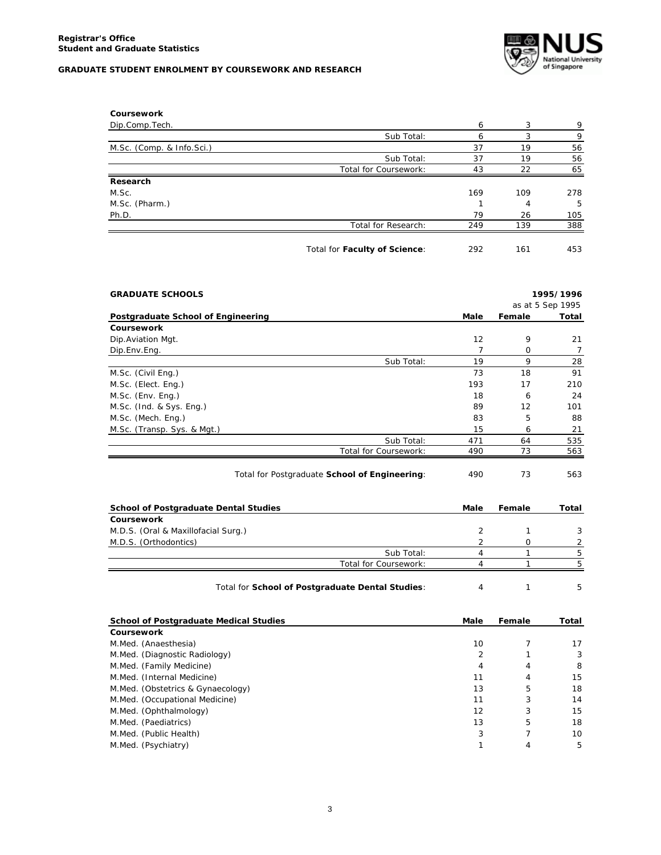

| Coursework                |                               |     |     |     |
|---------------------------|-------------------------------|-----|-----|-----|
| Dip.Comp.Tech.            |                               | 6   | 3   | 9   |
|                           | Sub Total:                    | 6   | 3   | 9   |
| M.Sc. (Comp. & Info.Sci.) |                               | 37  | 19  | 56  |
|                           | Sub Total:                    | 37  | 19  | 56  |
|                           | Total for Coursework:         | 43  | 22  | 65  |
| Research                  |                               |     |     |     |
| M.Sc.                     |                               | 169 | 109 | 278 |
| M.Sc. (Pharm.)            |                               |     | 4   | -5  |
| Ph.D.                     |                               | 79  | 26  | 105 |
|                           | Total for Research:           | 249 | 139 | 388 |
|                           | Total for Faculty of Science: | 292 | 161 | 453 |

| <b>GRADUATE SCHOOLS</b>                       |      |          | 1995/1996        |
|-----------------------------------------------|------|----------|------------------|
|                                               |      |          | as at 5 Sep 1995 |
| Postgraduate School of Engineering            | Male | Female   | Total            |
| Coursework                                    |      |          |                  |
| Dip.Aviation Mgt.                             | 12   | 9        | 21               |
| Dip.Env.Eng.                                  | 7    | $\Omega$ | 7                |
| Sub Total:                                    | 19   | 9        | 28               |
| M.Sc. (Civil Eng.)                            | 73   | 18       | 91               |
| M.Sc. (Elect. Eng.)                           | 193  | 17       | 210              |
| M.Sc. (Env. Eng.)                             | 18   | 6        | 24               |
| M.Sc. (Ind. & Sys. Eng.)                      | 89   | 12       | 101              |
| M.Sc. (Mech. Eng.)                            | 83   | 5        | 88               |
| M.Sc. (Transp. Sys. & Mgt.)                   | 15   | 6        | 21               |
| Sub Total:                                    | 471  | 64       | 535              |
| Total for Coursework:                         | 490  | 73       | 563              |
| Total for Postgraduate School of Engineering: | 490  | 73       | 563              |

| <b>School of Postgraduate Dental Studies</b> | Male | Female | Total |
|----------------------------------------------|------|--------|-------|
| Coursework                                   |      |        |       |
| M.D.S. (Oral & Maxillofacial Surg.)          |      |        |       |
| M.D.S. (Orthodontics)                        |      |        |       |
| Sub Total:                                   |      |        |       |
| Total for Coursework:                        |      |        |       |
|                                              |      |        |       |

Total for **School of Postgraduate Dental Studies**: 4 1 5

| <b>School of Postgraduate Medical Studies</b> | Male | Female | Total |
|-----------------------------------------------|------|--------|-------|
| <b>Coursework</b>                             |      |        |       |
| M.Med. (Anaesthesia)                          | 10   |        | 17    |
| M.Med. (Diagnostic Radiology)                 | 2    |        | 3     |
| M.Med. (Family Medicine)                      | 4    | 4      | 8     |
| M.Med. (Internal Medicine)                    | 11   | 4      | 15    |
| M.Med. (Obstetrics & Gynaecology)             | 13   | 5      | 18    |
| M.Med. (Occupational Medicine)                | 11   | 3      | 14    |
| M.Med. (Ophthalmology)                        | 12   | 3      | 15    |
| M.Med. (Paediatrics)                          | 13   | 5      | 18    |
| M.Med. (Public Health)                        | 3    |        | 10    |
| M.Med. (Psychiatry)                           |      |        | 5     |